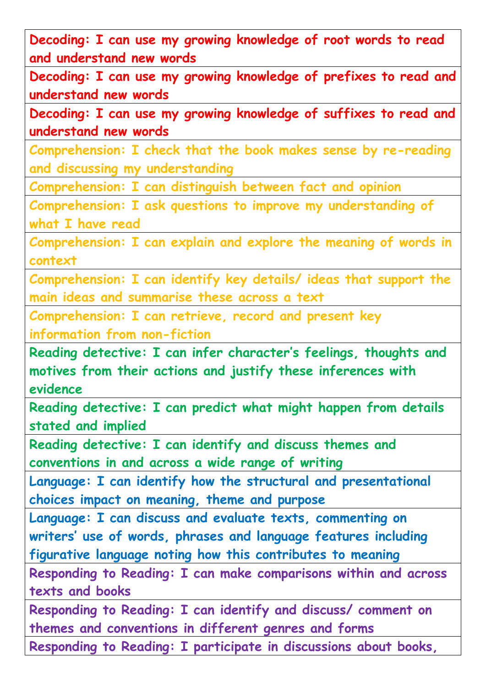**Decoding: I can use my growing knowledge of root words to read and understand new words**

**Decoding: I can use my growing knowledge of prefixes to read and understand new words**

**Decoding: I can use my growing knowledge of suffixes to read and understand new words**

**Comprehension: I check that the book makes sense by re-reading and discussing my understanding**

**Comprehension: I can distinguish between fact and opinion**

**Comprehension: I ask questions to improve my understanding of what I have read**

**Comprehension: I can explain and explore the meaning of words in context**

**Comprehension: I can identify key details/ ideas that support the main ideas and summarise these across a text**

**Comprehension: I can retrieve, record and present key information from non-fiction**

**Reading detective: I can infer character's feelings, thoughts and motives from their actions and justify these inferences with evidence**

**Reading detective: I can predict what might happen from details stated and implied**

**Reading detective: I can identify and discuss themes and conventions in and across a wide range of writing**

**Language: I can identify how the structural and presentational choices impact on meaning, theme and purpose**

**Language: I can discuss and evaluate texts, commenting on writers' use of words, phrases and language features including figurative language noting how this contributes to meaning**

**Responding to Reading: I can make comparisons within and across texts and books**

**Responding to Reading: I can identify and discuss/ comment on themes and conventions in different genres and forms Responding to Reading: I participate in discussions about books,**